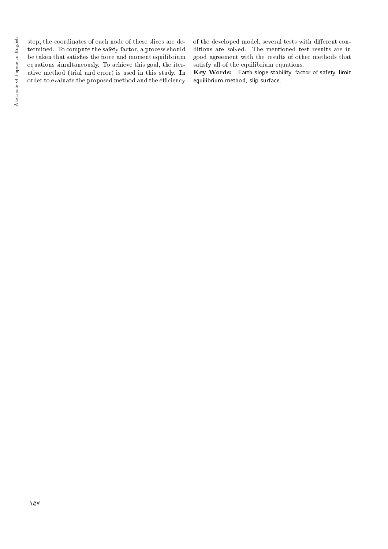step, the coordinates of each node of these slices are determined. To compute the safety factor, a process should be taken that satisfies the force and moment equilibrium equations simultaneously. To achieve this goal, the iterative method (trial and error) is used in this study. In order to evaluate the proposed method and the efficiency of the developed model, several tests with different conditions are solved. The mentioned test results are in good agreement with the results of other methods that satisfy all of the equilibrium equations.

Key Words: Earth slope stability, factor of safety, limit equilibrium method, slip surface.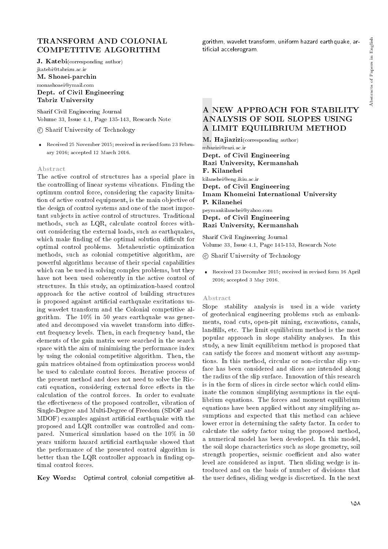# TRANSFORM AND COLONIAL COMPETITIVE ALGORITHM

J. Katebi(corresponding author) jkatebi@tabrizu.ac.ir

M. Shoaei-parchin monashoaei@ymail.com Dept. of Civil Engineering Tabriz University

Sharif Civil Engineering Journal Volume 33, Issue 4.1, Page 135-143, Research Note

c Sharif University of Technology

 Received 25 November 2015; received in revised form 23 February 2016; accepted 12 March 2016.

#### Abstract

The active control of structures has a special place in the controlling of linear systems vibrations. Finding the optimum control force, considering the capacity limitation of active control equipment, is the main objective of the design of control systems and one of the most important subjects in active control of structures. Traditional methods, such as LQR, calculate control forces without considering the external loads, such as earthquakes, which make finding of the optimal solution difficult for optimal control problems. Metaheuristic optimization methods, such as colonial competitive algorithm, are powerful algorithms because of their special capabilities which can be used in solving complex problems, but they have not been used coherently in the active control of structures. In this study, an optimization-based control approach for the active control of building structures is proposed against artificial earthquake excitations using wavelet transform and the Colonial competitive algorithm. The 10% in 50 years earthquake was generated and decomposed via wavelet transform into different frequency levels. Then, in each frequency band, the elements of the gain matrix were searched in the search space with the aim of minimizing the performance index by using the colonial competitive algorithm. Then, the gain matrices obtained from optimization process would be used to calculate control forces. Iterative process of the present method and does not need to solve the Riccati equation, considering external force effects in the calculation of the control forces. In order to evaluate the effectiveness of the proposed controller, vibration of Single-Degree and Multi-Degree of Freedom (SDOF and MDOF) examples against articial earthquake with the proposed and LQR controller was controlled and compared. Numerical simulation based on the 10% in 50 years uniform hazard articial earthquake showed that the performance of the presented control algorithm is better than the LQR controller approach in finding optimal control forces.

Key Words: Optimal control, colonial competitive al-

gorithm, wavelet transform, uniform hazard earthquake, articial accelerogram.

# A NEW APPROACH FOR STABILITY ANALYSIS OF SOIL SLOPES USING A LIMIT EQUILIBRIUM METHOD

M. Hajiazizi(corresponding author) mhazizi@razi.ac.ir Dept. of Civil Engineering Razi University, Kermanshah F. Kilanehei kilanehei@eng.ikiu.ac.ir Dept. of Civil Engineering Imam Khomeini International University P. Kilanehei peymankilanehei@yahoo.com Dept. of Civil Engineering Razi University, Kermanshah

Sharif Civil Engineering Journal Volume 33, Issue 4.1, Page 145-153, Research Note

c Sharif University of Technology

 Received 23 December 2015; received in revised form 16 April 2016; accepted 3 May 2016.

#### Abstract

Slope stability analysis is used in a wide variety of geotechnical engineering problems such as embankments, road cuts, open-pit mining, excavations, canals, landfills, etc. The limit equilibrium method is the most popular approach in slope stability analyses. In this study, a new limit equilibrium method is proposed that can satisfy the forces and moment without any assumptions. In this method, circular or non-circular slip surface has been considered and slices are intended along the radius of the slip surface. Innovation of this research is in the form of slices in circle sector which could eliminate the common simplifying assumptions in the equilibrium equations. The forces and moment equilibrium equations have been applied without any simplifying assumptions and expected that this method can achieve lower error in determining the safety factor. In order to calculate the safety factor using the proposed method, a numerical model has been developed. In this model, the soil slope characteristics such as slope geometry, soil strength properties, seismic coefficient and also water level are considered as input. Then sliding wedge is introduced and on the basis of number of divisions that the user defines, sliding wedge is discretized. In the next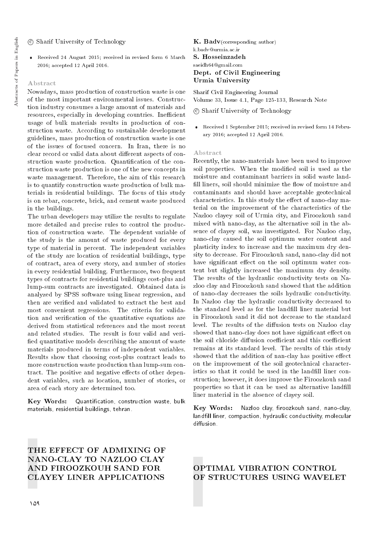### c Sharif University of Technology

 Received 24 August 2015; received in revised form 6 March 2016; accepted 12 April 2016.

### Abstract

Nowadays, mass production of construction waste is one of the most important environmental issues. Construction industry consumes a large amount of materials and resources, especially in developing countries. Inefficient usage of bulk materials results in production of construction waste. According to sustainable development guidelines, mass production of construction waste is one of the issues of focused concern. In Iran, there is no clear record or valid data about different aspects of construction waste production. Quantification of the construction waste production is one of the new concepts in waste management. Therefore, the aim of this research is to quantify construction waste production of bulk materials in residential buildings. The focus of this study is on rebar, concrete, brick, and cement waste produced in the buildings.

The urban developers may utilize the results to regulate more detailed and precise rules to control the production of construction waste. The dependent variable of the study is the amount of waste produced for every type of material in percent. The independent variables of the study are location of residential buildings, type of contract, area of every story, and number of stories in every residential building. Furthermore, two frequent types of contracts for residential buildings cost-plus and lump-sum contracts are investigated. Obtained data is analyzed by SPSS software using linear regression, and then are veried and validated to extract the best and most convenient regressions. The criteria for validation and verication of the quantitative equations are derived from statistical references and the most recent and related studies. The result is four valid and veri fied quantitative models describing the amount of waste materials produced in terms of independent variables. Results show that choosing cost-plus contract leads to more construction waste production than lump-sum contract. The positive and negative effects of other dependent variables, such as location, number of stories, or area of each story are determined too.

Key Words: Quantication, construction waste, bulk materials, residential buildings, tehran.

### $K.$  Badv(corresponding author) k.badv@urmia.ac.ir S. Hosseinzadeh saeidh64@gmail.com Dept. of Civil Engineering Urmia University

Sharif Civil Engineering Journal Volume 33, Issue 4.1, Page 125-133, Research Note

c Sharif University of Technology

 Received 1 September 2015; received in revised form 14 February 2016; accepted 12 April 2016.

### Abstract

Recently, the nano-materials have been used to improve soil properties. When the modied soil is used as the moisture and contaminant barriers in solid waste land fill liners, soil should minimize the flow of moisture and contaminants and should have acceptable geotechnical characteristics. In this study the effect of nano-clay material on the improvement of the characteristics of the Nazloo clayey soil of Urmia city, and Firoozkouh sand mixed with nano-clay, as the alternative soil in the absence of clayey soil, was investigated. For Nazloo clay, nano-clay caused the soil optimum water content and plasticity index to increase and the maximum dry density to decrease. For Firoozkouh sand, nano-clay did not have significant effect on the soil optimum water content but slightly increased the maximum dry density. The results of the hydraulic conductivity tests on Nazloo clay and Firoozkouh sand showed that the addition of nano-clay decreases the soils hydraulic conductivity. In Nazloo clay the hydraulic conductivity decreased to the standard level as for the landfill liner material but in Firoozkouh sand it did not decrease to the standard level. The results of the diffusion tests on Nazloo clay showed that nano-clay does not have significant effect on the soil chloride diffusion coefficient and this coefficient remains at its standard level. The results of this study showed that the addition of nan-clay has positive effect on the improvement of the soil geotechnical characteristics so that it could be used in the landfill liner construction; however, it does improve the Firoozkouh sand properties so that it can be used as alternative landfill liner material in the absence of clayey soil.

Key Words: Nazloo clay, firoozkouh sand, nano-clay, landfill liner, compaction, hydraulic conductivity, molecular diffusion.

# THE EFFECT OF ADMIXING OF NANO-CLAY TO NAZLOO CLAY AND FIROOZKOUH SAND FOR CLAYEY LINER APPLICATIONS

### OPTIMAL VIBRATION CONTROL OF STRUCTURES USING WAVELET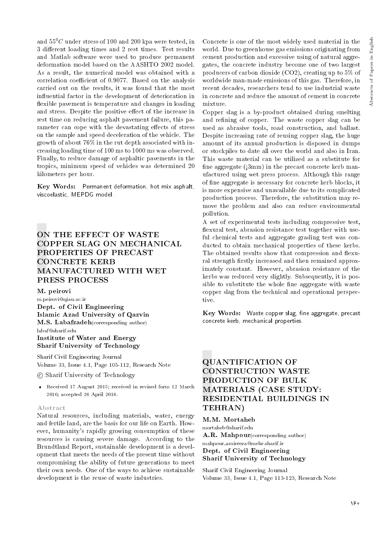and  $55^{0}$ C under stress of 100 and 200 kpa were tested, in 3 different loading times and 2 rest times. Test results and Matlab software were used to produce permanent deformation model based on the AASHTO 2002 model. As a result, the numerical model was obtained with a correlation coefficient of 0.9077. Based on the analysis carried out on the results, it was found that the most in
uential factor in the development of deterioration in flexible pavement is temperature and changes in loading and stress. Despite the positive effect of the increase in rest time on reducing asphalt pavement failure, this parameter can cope with the devastating effects of stress on the sample and speed deceleration of the vehicle. The growth of about 76% in the rut depth associated with increasing loading time of 100 ms to 1000 ms was observed. Finally, to reduce damage of asphaltic pavements in the tropics, minimum speed of vehicles was determined 20 kilometers per hour.

Key Words: Permanent deformation, hot mix asphalt, viscoelastic, MEPDG model.

# ON THE EFFECT OF WASTE COPPER SLAG ON MECHANICAL PROPERTIES OF PRECAST CONCRETE KERB MANUFACTURED WITH WET PRESS PROCESS

M. peirovi

m.peirovi@qiau.ac.ir Dept. of Civil Engineering Islamic Azad University of Qazvin M.S. Labafzadeh(corresponding author) labaf@sharif.edu

### Institute of Water and Energy Sharif University of Technology

Sharif Civil Engineering Journal Volume 33, Issue 4.1, Page 105-112, Research Note

c Sharif University of Technology

 Received 17 August 2015; received in revised form 12 March 2016; accepted 26 April 2016.

### Abstract

Natural resources, including materials, water, energy and fertile land, are the basis for our life on Earth. However, humanity's rapidly growing consumption of these resources is causing severe damage. According to the Brundtland Report, sustainable development is a development that meets the needs of the present time without compromising the ability of future generations to meet their own needs. One of the ways to achieve sustainable development is the reuse of waste industries.

Concrete is one of the most widely used material in the world. Due to greenhouse gas emissions originating from cement production and excessive using of natural aggregates, the concrete industry become one of two largest producers of carbon dioxide (CO2), creating up to 5% of worldwide man-made emissions of this gas. Therefore, in recent decades, researchers tend to use industrial waste in concrete and reduce the amount of cement in concrete mixture.

Copper slag is a by-product obtained during smelting and refining of copper. The waste copper slag can be used as abrasive tools, road construction, and ballast. Despite increasing rate of reusing copper slag, the huge amount of its annual production is disposed in dumps or stockpiles to date all over the world and also in Iran. This waste material can be utilized as a substitute for fine aggregate  $(3mm)$  in the precast concrete kerb manufactured using wet press process. Although this range of fine aggregate is necessary for concrete kerb blocks, it is more expensive and unavailable due to its complicated production process. Therefore, the substitution may remove the problem and also can reduce environmental pollution.

A set of experimental tests including compressive test, flexural test, abrasion resistance test together with useful chemical tests and aggregate grading test was conducted to obtain mechanical properties of these kerbs. The obtained results show that compression and flexural strength firstly increased and then remained approximately constant. However, abrasion resistance of the kerbs was reduced very slightly. Subsequently, it is possible to substitute the whole fine aggregate with waste copper slag from the technical and operational perspective.

Key Words: Waste copper slag, fine aggregate, precast concrete kerb, mechanical properties.

# QUANTIFICATION OF CONSTRUCTION WASTE PRODUCTION OF BULK MATERIALS (CASE STUDY: RESIDENTIAL BUILDINGS IN TEHRAN)

M.M. Mortaheb mortaheb@sharif.edu A.R. Mahpour(corresponding author) mahpour amirreza@mehr.sharif.ir Dept. of Civil Engineering Sharif University of Technology

Sharif Civil Engineering Journal Volume 33, Issue 4.1, Page 113-123, Research Note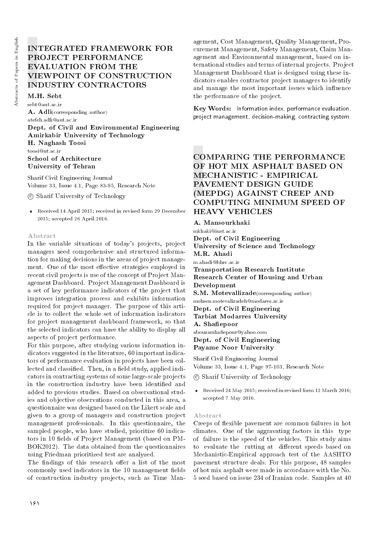# INTEGRATED FRAMEWORK FOR PROJECT PERFORMANCE EVALUATION FROM THE VIEWPOINT OF CONSTRUCTION INDUSTRY CONTRACTORS

M.H. Sebt sebt@aut.ac.ir A. Adli(corresponding author) atefeh.adli@aut.ac.ir Dept. of Civil and Environmental Engineering Amirkabir University of Technology H. Naghash Toosi toosi@ut.ac.ir School of Architecture University of Tehran

Sharif Civil Engineering Journal Volume 33, Issue 4.1, Page 83-95, Research Note

c Sharif University of Technology

 Received 14 April 2015; received in revised form 29 December 2015; accepted 26 April 2016.

#### Abstract

In the variable situations of today's projects, project managers need comprehensive and structured information for making decisions in the areas of project management. One of the most effective strategies employed in recent civil projects is use of the concept of Project Management Dashboard. Project Management Dashboard is a set of key performance indicators of the project that improves integration process and exhibits information required for project manager. The purpose of this article is to collect the whole set of information indicators for project management dashboard framework, so that the selected indicators can have the ability to display all aspects of project performance.

For this purpose, after studying various information indicators suggested in the literature, 60 important indicators of performance evaluation in projects have been collected and classified. Then, in a field study, applied indicators in contracting systems of some large-scale projects in the construction industry have been identified and added to previous studies. Based on observational studies and objective observations conducted in this area, a questionnaire was designed based on the Likert scale and given to a group of managers and construction project management professionals. In this questionnaire, the sampled people, who have studied, prioritize 60 indicators in 10 fields of Project Management (based on PM-BOK2012). The data obtained from the questionnaires using Friedman prioritized test are analyzed.

The findings of this research offer a list of the most commonly used indicators in the 10 management fields of construction industry projects, such as Time Man-

agement, Cost Management, Quality Management, Procurement Management, Safety Management, Claim Management and Environmental management, based on international studies and terms of internal projects. Project Management Dashboard that is designed using these indicators enables contractor project managers to identify and manage the most important issues which influence the performance of the project.

Key Words: Information index, performance evaluation, project management, decision-making, contracting system.

## COMPARING THE PERFORMANCE OF HOT MIX ASPHALT BASED ON MECHANISTIC - EMPIRICAL PAVEMENT DESIGN GUIDE (MEPDG) AGAINST CREEP AND COMPUTING MINIMUM SPEED OF HEAVY VEHICLES

A. Mansourkhaki mkhaki@iust.ac.ir Dept. of Civil Engineering University of Science and Technology M.R. Ahadi m.ahadi@bhrc.ac.ir Transportation Research Institute Research Center of Housing and Urban Development S.M. Motevallizade(corresponding author) mohsen.motevalizadeh@modares.ac.ir Dept. of Civil Engineering Tarbiat Modarres University A. Shafiepoor abouzarshaepour@yahoo.com Dept. of Civil Engineering Payame Noor University

Sharif Civil Engineering Journal Volume 33, Issue 4.1, Page 97-103, Research Note

c Sharif University of Technology

 Received 24 May 2015; received in revised form 12 March 2016; accepted 7 May 2016.

#### Abstract

Creeps of flexible pavement are common failures in hot climates. One of the aggravating factors in this type of failure is the speed of the vehicles. This study aims to evaluate the rutting at different speeds based on Mechanistic-Empirical approach test of the AASHTO pavement structure deals. For this purpose, 48 samples of hot mix asphalt were made in accordance with the No. 5 seed based on issue 234 of Iranian code. Samples at 40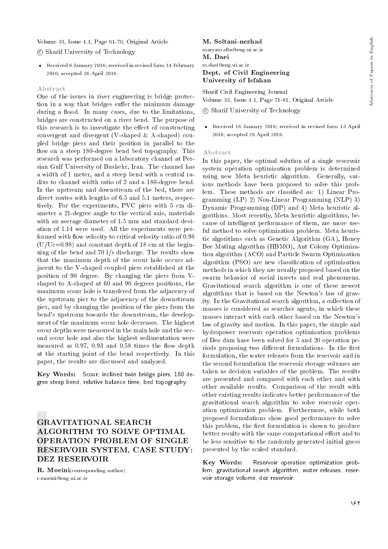### Volume 33, Issue 4.1, Page 61-70, Original Article

### c Sharif University of Technology

 Received 6 January 2016; received in revised form 14 February 2016; accepted 26 April 2016.

#### Abstract

One of the issues in river engineering is bridge protection in a way that bridges suffer the minimum damage during a flood. In many cases, due to the limitations, bridges are constructed on a river bend. The purpose of this research is to investigate the effect of constructing convergent and divergent (V-shaped & A-shaped) coupled bridge piers and their position in parallel to the flow on a steep 180-degree bend bed topography. This research was performed on a laboratory channel at Persian Gulf University of Bushehr, Iran. The channel has a width of 1 meter, and a steep bend with a central radius to channel width ratio of 2 and a 180-degree bend. In the upstream and downstream of the bed, there are direct routes with lengths of 6.5 and 5.1 meters, respectively. For the experiments, PVC piers with 5 cm diameter a 21-degree angle to the vertical axis, materials with an average diameter of 1.5 mm and standard deviation of 1.14 were used. All the experiments were performed with flow velocity to critical velocity ratio of 0.98  $(U/Uc=0.98)$  and constant depth of 18 cm at the beginning of the bend and 70 l/s discharge. The results show that the maximum depth of the scour hole occurs adjacent to the V-shaped coupled piers established at the position of 90 degree. By changing the piers from Vshaped to A-shaped at 60 and 90 degrees positions, the maximum scour hole is transfered from the adjacency of the upstream pier to the adjacency of the downstream pier, and by changing the position of the piers from the bend's upstream towards the downstream, the development of the maximum scour hole decreases. The highest scour depths were measured in the main hole and the second scour hole and also the highest sedimentation were measured as  $0.97, 0.93$  and  $0.58$  times the flow depth at the starting point of the bend respectively. In this paper, the results are discussed and analyzed.

Key Words: Scour, inclined twin bridge piers, 180 degree steep bend, relative balance time, bed topography.

### GRAVITATIONAL SEARCH ALGORITHM TO SOLVE OPTIMAL OPERATION PROBLEM OF SINGLE RESERVOIR SYSTEM, CASE STUDY: DEZ RESERVOIR

R. Moeini(corresponding author) r.moeini@eng.ui.ac.ir

### M. Soltani-nezhad

maryam.sltn@eng.ui.ac.ir M. Daei m.daei@eng.ui.ac.ir

### Dept. of Civil Engineering University of Isfahan

Sharif Civil Engineering Journal Volume 33, Issue 4.1, Page 71-81, Original Article

c Sharif University of Technology

 Received 16 January 2016; received in revised form 13 April 2016; accepted 26 April 2016.

#### Abstract

In this paper, the optimal solution of a single reservoir system operation optimization problem is determined using new Meta heuristic algorithm. Generally, various methods have been proposed to solve this problem. These methods are classied as: 1) Linear Programming (LP) 2) Non-Linear Programming (NLP) 3) Dynamic Programming (DP) and 4) Meta heuristic algorithms. Most recently, Meta heuristic algorithms, because of intelligent performance of them, are more useful method to solve optimization problem. Meta heuristic algorithms such as Genetic Algorithm (GA), Honey Bee Mating algorithm (HBMO), Ant Colony Optimization algorithm (ACO) and Particle Swarm Optimization algorithm (PSO) are new classication of optimization methods in which they are usually proposed based on the swarm behavior of social insects and real phenomena. Gravitational search algorithm is one of these newest algorithms that is based on the Newton's law of gravity. In the Gravitational search algorithm, a collection of masses is considered as searcher agents, in which these masses interact with each other based on the Newton's law of gravity and motion. In this paper, the simple and hydropower reservoir operation optimization problems of Dez dam have been solved for 5 and 20 operation periods proposing two different formulations. In the first formulation, the water releases from the reservoir and in the second formulation the reservoir storage volumes are taken as decision variables of the problem. The results are presented and compared with each other and with other available results. Comparison of the result with other existing results indicates better performance of the gravitational search algorithm to solve reservoir operation optimization problem. Furthermore, while both proposed formulations show good performance to solve this problem, the first formulation is shown to produce better results with the same computational effort and to be less sensitive to the randomly generated initial guess presented by the scaled standard.

Key Words: Reservoir operation optimization problem, gravitational search algorithm, water releases, reservoir storage volume, dez reservoir.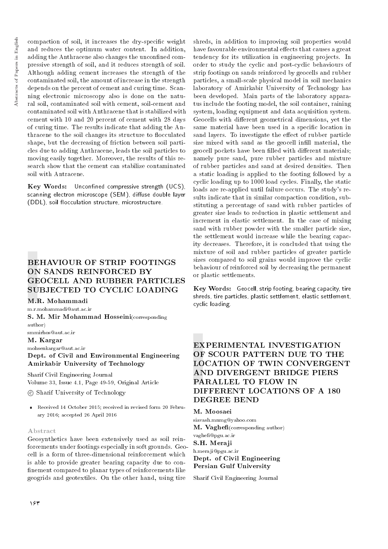compaction of soil, it increases the dry-specic weight and reduces the optimum water content. In addition, adding the Anthracene also changes the unconfined compressive strength of soil, and it reduces strength of soil. Although adding cement increases the strength of the contaminated soil, the amount of increase in the strength depends on the percent of cement and curing time. Scanning electronic microscopy also is done on the natural soil, contaminated soil with cement, soil-cement and contaminated soil with Anthracene that is stabilized with cement with 10 and 20 percent of cement with 28 days of curing time. The results indicate that adding the Anthracene to the soil changes its structure to flocculated shape, but the decreasing of friction between soil particles due to adding Anthracene, leads the soil particles to moving easily together. Moreover, the results of this research show that the cement can stabilize contaminated soil with Antracene.

Key Words: Unconfined compressive strength (UCS). scanning electron microscope (SEM), diffuse double layer (DDL), soil flocculation structure, microstructure.

# BEHAVIOUR OF STRIP FOOTINGS ON SANDS REINFORCED BY GEOCELL AND RUBBER PARTICLES SUBJECTED TO CYCLIC LOADING

### M.R. Mohammadi

m.r.mohammadi@aut.ac.ir

S. M. Mir Mohammad Hosseini(corresponding author)

#### smmirhos@aut.ac.ir

M. Kargar

#### mohsenkargar@aut.ac.ir

Dept. of Civil and Environmental Engineering Amirkabir University of Technology

Sharif Civil Engineering Journal Volume 33, Issue 4.1, Page 49-59, Original Article

### c Sharif University of Technology

 Received 14 October 2015; received in revised form 20 February 2016; accepted 26 April 2016

#### Abstract

Geosynthetics have been extensively used as soil reinforcements under footings especially in soft grounds. Geocell is a form of three-dimensional reinforcement which is able to provide greater bearing capacity due to con finement compared to planar types of reinforcements like geogrids and geotextiles. On the other hand, using tire

shreds, in addition to improving soil properties would have favourable environmental effects that causes a great tendency for its utilization in engineering projects. In order to study the cyclic and post-cyclic behaviours of strip footings on sands reinforced by geocells and rubber particles, a small-scale physical model in soil mechanics laboratory of Amirkabir University of Technology has been developed. Main parts of the laboratory apparatus include the footing model, the soil container, raining system, loading equipment and data acquisition system. Geocells with different geometrical dimensions, yet the same material have been used in a specic location in sand layers. To investigate the effect of rubber particle size mixed with sand as the geocell infill material, the geocell pockets have been filled with different materials; namely pure sand, pure rubber particles and mixture of rubber particles and sand at desired densities. Then a static loading is applied to the footing followed by a cyclic loading up to 1000 load cycles. Finally, the static loads are re-applied until failure occurs. The study's results indicate that in similar compaction condition, substituting a percentage of sand with rubber particles of greater size leads to reduction in plastic settlement and increment in elastic settlement. In the case of mixing sand with rubber powder with the smaller particle size, the settlement would increase while the bearing capacity decreases. Therefore, it is concluded that using the mixture of soil and rubber particles of greater particle sizes compared to soil grains would improve the cyclic behaviour of reinforced soil by decreasing the permanent or plastic settlements.

Key Words: Geocell, strip footing, bearing capacity, tire shreds, tire particles, plastic settlement, elastic settlement, cyclic loading.

# EXPERIMENTAL INVESTIGATION OF SCOUR PATTERN DUE TO THE LOCATION OF TWIN CONVERGENT AND DIVERGENT BRIDGE PIERS PARALLEL TO FLOW IN DIFFERENT LOCATIONS OF A 180 DEGREE BEND

### M. Moosaei

siavash.mnmg@yahoo.com  $M.$  Vaghefi(corresponding author) vaghe@pgu.ac.ir S.H. Meraji h.meraji@pgu.ac.ir

Dept. of Civil Engineering Persian Gulf University

Sharif Civil Engineering Journal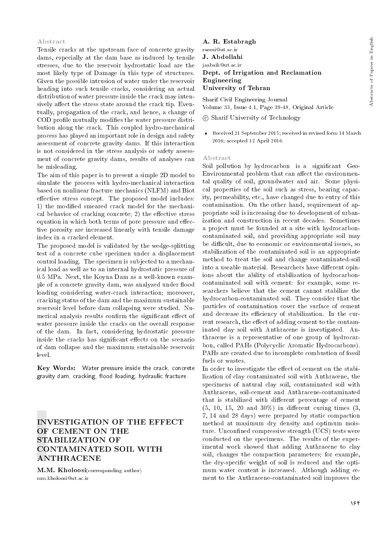### Abstract

Tensile cracks at the upstream face of concrete gravity dams, especially at the dam base as induced by tensile stresses, due to the reservoir hydrostatic load are the most likely type of Damage in this type of structures. Given the possible intrusion of water under the reservoir heading into such tensile cracks, considering an actual distribution of water pressure inside the crack may intensively affect the stress state around the crack tip. Eventually, propagation of the crack, and hence, a change of COD profile mutually modifies the water pressure distribution along the crack. This coupled hydro-mechanical process has played an important role in design and safety assessment of concrete gravity dams. If this interaction is not considered in the stress analysis or safety assessment of concrete gravity dams, results of analyses can be misleading.

The aim of this paper is to present a simple 2D model to simulate the process with hydro-mechanical interaction based on nonlinear fracture mechanics (NLFM) and Biot effective stress concept. The proposed model includes: 1) the modied smeared crack model for the mechanical behavior of cracking concrete;  $2)$  the effective stress equation in which both terms of pore pressure and effective porosity are increased linearly with tensile damage index in a cracked element.

The proposed model is validated by the wedge-splitting test of a concrete cube specimen under a displacement control loading. The specimen is subjected to a mechanical load as well as to an internal hydrostatic pressure of 0.5 MPa. Next, the Koyna Dam as a well-known example of a concrete gravity dam, was analyzed under flood loading considering water-crack interaction; moreover, cracking status of the dam and the maximum sustainable reservoir level before dam collapsing were studied. Numerical analysis results confirm the significant effect of water pressure inside the cracks on the overall response of the dam. In fact, considering hydrostatic pressure inside the cracks has significant effects on the scenario of dam collapse and the maximum sustainable reservoir level.

Key Words: Water pressure inside the crack, concrete gravity dam, cracking, flood loading, hydraulic fracture.

### INVESTIGATION OF THE EFFECT OF CEMENT ON THE STABILIZATION OF CONTAMINATED SOIL WITH ANTHRACENE

M.M. Kholoosi(corresponding author) mm.kholoosi@ut.ac.ir

#### A. R. Estabragh

raeesi@ut.ac.ir J. Abdollahi

### jaabaik@ut.ac.ir Dept. of Irrigation and Reclamation Engineering University of Tehran

Sharif Civil Engineering Journal Volume 33, Issue 4.1, Page 39-48, Original Article

- c Sharif University of Technology
- Received 21 September 2015; received in revised form 14 March 2016; accepted 12 April 2016.

#### Abstract

Soil pollution by hydrocarbon is a significant Geo-Environmental problem that can affect the environmental quality of soil, groundwater and air. Some physical properties of the soil such as stress, bearing capacity, permeability, etc., have changed due to entry of this contamination. On the other hand, requirement of appropriate soil is increasing due to development of urbanization and construction in recent decades. Sometimes a project must be founded at a site with hydrocarboncontaminated soil, and providing appropriate soil may be difficult, due to economic or environmental issues, so stabilization of the contaminated soil is an appropriate method to treat the soil and change contaminated-soil into a useable material. Researchers have different opinions about the ability of stabilization of hydrocarboncontaminated soil with cement: for example, some researchers believe that the cement cannot stabilize the hydrocarbon-contaminated soil. They consider that the particles of contamination cover the surface of cement and decrease its efficiency of stabilization. In the current research, the effect of adding cement to the contaminated clay soil with Anthracene is investigated. Anthracene is a representative of one group of hydrocarbon, called PAHs (Polycyclic Aromatic Hydrocarbons). PAHs are created due to incomplete combustion of fossil fuels or wastes.

In order to investigate the effect of cement on the stabilization of clay contaminated soil with Anthracene, the specimens of natural clay soil, contaminated soil with Anthracene, soil-cement and Anthracene-contaminated that is stabilized with different percentage of cement  $(5, 10, 15, 20, \text{and } 30\%)$  in different curing times  $(3, 10, 15, 20, \text{and } 30\%)$ 7, 14 and 28 days) were prepared by static compaction method at maximum dry density and optimum moisture. Unconfined compressive strength (UCS) tests were conducted on the specimens. The results of the experimental work showed that adding Anthracene to clay soil, changes the compaction parameters; for example, the dry-specic weight of soil is reduced and the optimum water content is increased. Although adding cement to the Anthracene-contaminated soil improves the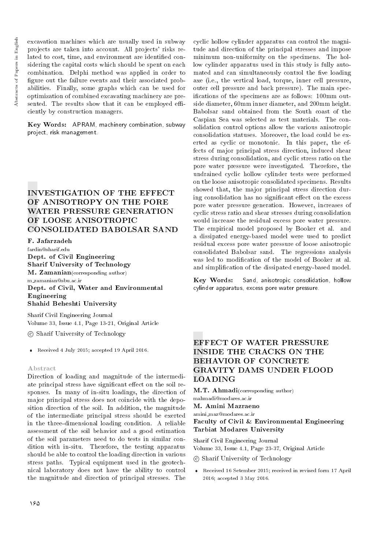excavation machines which are usually used in subway projects are taken into account. All projects' risks related to cost, time, and environment are identified considering the capital costs which should be spent on each combination. Delphi method was applied in order to figure out the failure events and their associated probabilities. Finally, some graphs which can be used for optimization of combined excavating machinery are presented. The results show that it can be employed efficiently by construction managers.

Key Words: APRAM, machinery combination, subway project, risk management.

# INVESTIGATION OF THE EFFECT OF ANISOTROPY ON THE PORE WATER PRESSURE GENERATION OF LOOSE ANISOTROPIC CONSOLIDATED BABOLSAR SAND

### F. Jafarzadeh

fardin@sharif.edu Dept. of Civil Engineering Sharif University of Technology M. Zamanian(corresponding author)

m zamanian@sbu.ac.ir Dept. of Civil, Water and Environmental Engineering Shahid Beheshti University

Sharif Civil Engineering Journal Volume 33, Issue 4.1, Page 13-21, Original Article

c Sharif University of Technology

Received 4 July 2015; accepted 19 April 2016.

### Abstract

Direction of loading and magnitude of the intermediate principal stress have significant effect on the soil responses. In many of in-situ loadings, the direction of major principal stress does not coincide with the deposition direction of the soil. In addition, the magnitude of the intermediate principal stress should be exerted in the three-dimensional loading condition. A reliable assessment of the soil behavior and a good estimation of the soil parameters need to do tests in similar condition with in-situ. Therefore, the testing apparatus should be able to control the loading direction in various stress paths. Typical equipment used in the geotechnical laboratory does not have the ability to control the magnitude and direction of principal stresses. The cyclic hollow cylinder apparatus can control the magnitude and direction of the principal stresses and impose minimum non-uniformity on the specimens. The hollow cylinder apparatus used in this study is fully automated and can simultaneously control the five loading axe (i.e., the vertical load, torque, inner cell pressure, outer cell pressure and back pressure). The main specications of the specimens are as follows: 100mm outside diameter, 60mm inner diameter, and 200mm height. Babolsar sand obtained from the South coast of the Caspian Sea was selected as test materials. The consolidation control options allow the various anisotropic consolidation statuses. Moreover, the load could be exerted as cyclic or monotonic. In this paper, the effects of major principal stress direction, induced shear stress during consolidation, and cyclic stress ratio on the pore water pressure were investigated. Therefore, the undrained cyclic hollow cylinder tests were performed on the loose anisotropic consolidated specimens. Results showed that, the major principal stress direction during consolidation has no significant effect on the excess pore water pressure generation. However, increases of cyclic stress ratio and shear stresses during consolidation would increase the residual excess pore water pressure. The empirical model proposed by Booker et al. and a dissipated energy-based model were used to predict residual excess pore water pressure of loose anisotropic consolidated Babolsar sand. The regressions analysis was led to modication of the model of Booker at al. and simplication of the dissipated energy-based model.

Key Words: Sand, anisotropic consolidation, hollow cylinder apparatus, excess pore water pressure.

# EFFECT OF WATER PRESSURE INSIDE THE CRACKS ON THE BEHAVIOR OF CONCRETE GRAVITY DAMS UNDER FLOOD LOADING

M.T. Ahmadi(corresponding author)

mahmadi@modares.ac.ir M. Amini Mazraeno

amini maz@modares.ac.ir

### Faculty of Civil & Environmental Engineering Tarbiat Modares University

Sharif Civil Engineering Journal Volume 33, Issue 4.1, Page 23-37, Original Article

c Sharif University of Technology

 Received 16 Setember 2015; received in revised form 17 April 2016; accepted 3 May 2016.